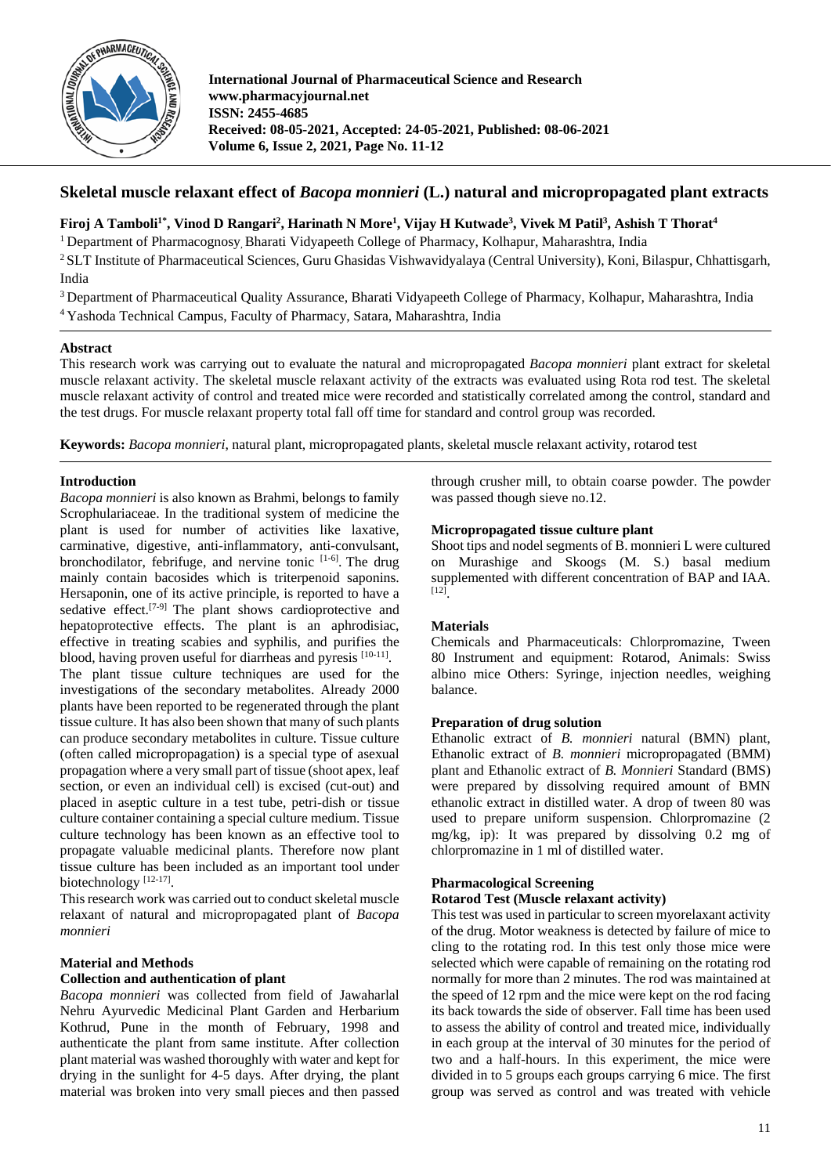

# **Skeletal muscle relaxant effect of** *Bacopa monnieri* **(L.) natural and micropropagated plant extracts**

# **Firoj A Tamboli1\* , Vinod D Rangari2 , Harinath N More1 , Vijay H Kutwade3 , Vivek M Patil3 , Ashish T Thorat4**

<sup>1</sup> Department of Pharmacognosy, Bharati Vidyapeeth College of Pharmacy, Kolhapur, Maharashtra, India

<sup>2</sup> SLT Institute of Pharmaceutical Sciences, Guru Ghasidas Vishwavidyalaya (Central University), Koni, Bilaspur, Chhattisgarh, India

<sup>3</sup> Department of Pharmaceutical Quality Assurance, Bharati Vidyapeeth College of Pharmacy, Kolhapur, Maharashtra, India <sup>4</sup> Yashoda Technical Campus, Faculty of Pharmacy, Satara, Maharashtra, India

# **Abstract**

This research work was carrying out to evaluate the natural and micropropagated *Bacopa monnieri* plant extract for skeletal muscle relaxant activity. The skeletal muscle relaxant activity of the extracts was evaluated using Rota rod test. The skeletal muscle relaxant activity of control and treated mice were recorded and statistically correlated among the control, standard and the test drugs. For muscle relaxant property total fall off time for standard and control group was recorded.

**Keywords:** *Bacopa monnieri*, natural plant, micropropagated plants, skeletal muscle relaxant activity, rotarod test

## **Introduction**

*Bacopa monnieri* is also known as Brahmi, belongs to family Scrophulariaceae. In the traditional system of medicine the plant is used for number of activities like laxative, carminative, digestive, anti-inflammatory, anti-convulsant, bronchodilator, febrifuge, and nervine tonic [1-6]. The drug mainly contain bacosides which is triterpenoid saponins. Hersaponin, one of its active principle, is reported to have a sedative effect.<sup>[7-9]</sup> The plant shows cardioprotective and hepatoprotective effects. The plant is an aphrodisiac, effective in treating scabies and syphilis, and purifies the blood, having proven useful for diarrheas and pyresis  $[10-11]$ . The plant tissue culture techniques are used for the investigations of the secondary metabolites. Already 2000 plants have been reported to be regenerated through the plant tissue culture. It has also been shown that many of such plants can produce secondary metabolites in culture. Tissue culture (often called micropropagation) is a special type of asexual propagation where a very small part of tissue (shoot apex, leaf section, or even an individual cell) is excised (cut-out) and placed in aseptic culture in a test tube, petri-dish or tissue culture container containing a special culture medium. Tissue culture technology has been known as an effective tool to propagate valuable medicinal plants. Therefore now plant tissue culture has been included as an important tool under biotechnology<sup>[12-17]</sup>.

This research work was carried out to conduct skeletal muscle relaxant of natural and micropropagated plant of *Bacopa monnieri*

# **Material and Methods**

#### **Collection and authentication of plant**

*Bacopa monnieri* was collected from field of Jawaharlal Nehru Ayurvedic Medicinal Plant Garden and Herbarium Kothrud, Pune in the month of February, 1998 and authenticate the plant from same institute. After collection plant material was washed thoroughly with water and kept for drying in the sunlight for 4-5 days. After drying, the plant material was broken into very small pieces and then passed through crusher mill, to obtain coarse powder. The powder was passed though sieve no.12.

### **Micropropagated tissue culture plant**

Shoot tips and nodel segments of B. monnieri L were cultured on Murashige and Skoogs (M. S.) basal medium supplemented with different concentration of BAP and IAA.  $[12]$ 

# **Materials**

Chemicals and Pharmaceuticals: Chlorpromazine, Tween 80 Instrument and equipment: Rotarod, Animals: Swiss albino mice Others: Syringe, injection needles, weighing balance.

#### **Preparation of drug solution**

Ethanolic extract of *B. monnieri* natural (BMN) plant, Ethanolic extract of *B. monnieri* micropropagated (BMM) plant and Ethanolic extract of *B. Monnieri* Standard (BMS) were prepared by dissolving required amount of BMN ethanolic extract in distilled water. A drop of tween 80 was used to prepare uniform suspension. Chlorpromazine (2 mg/kg, ip): It was prepared by dissolving 0.2 mg of chlorpromazine in 1 ml of distilled water.

#### **Pharmacological Screening**

#### **Rotarod Test (Muscle relaxant activity)**

This test was used in particular to screen myorelaxant activity of the drug. Motor weakness is detected by failure of mice to cling to the rotating rod. In this test only those mice were selected which were capable of remaining on the rotating rod normally for more than 2 minutes. The rod was maintained at the speed of 12 rpm and the mice were kept on the rod facing its back towards the side of observer. Fall time has been used to assess the ability of control and treated mice, individually in each group at the interval of 30 minutes for the period of two and a half-hours. In this experiment, the mice were divided in to 5 groups each groups carrying 6 mice. The first group was served as control and was treated with vehicle